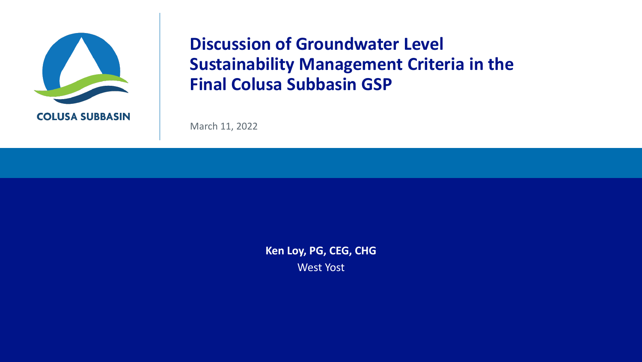

## **Discussion of Groundwater Level Sustainability Management Criteria in the Final Colusa Subbasin GSP**

March 11, 2022

**Ken Loy, PG, CEG, CHG** West Yost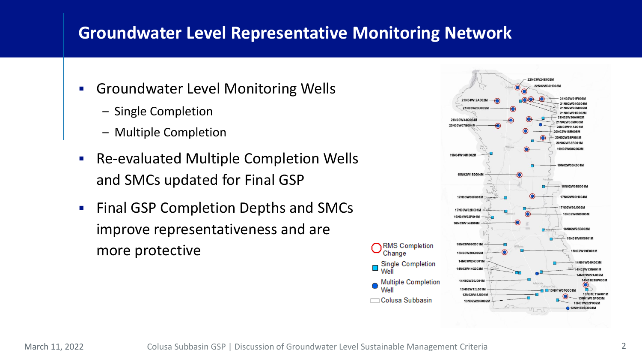## **Groundwater Level Representative Monitoring Network**

- **Groundwater Level Monitoring Wells** 
	- Single Completion
	- Multiple Completion
- Re-evaluated Multiple Completion Wells and SMCs updated for Final GSP
- Final GSP Completion Depths and SMCs improve representativeness and are more protective



Ô **Well**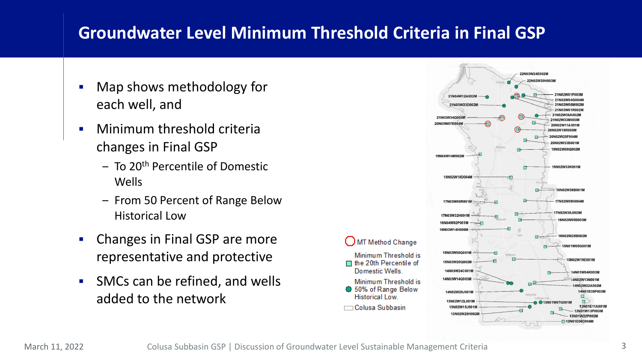## **Groundwater Level Minimum Threshold Criteria in Final GSP**

- Map shows methodology for each well, and
- **•** Minimum threshold criteria changes in Final GSP
	- To 20th Percentile of Domestic Wells
	- From 50 Percent of Range Below Historical Low
- Changes in Final GSP are more representative and protective
- SMCs can be refined, and wells added to the network

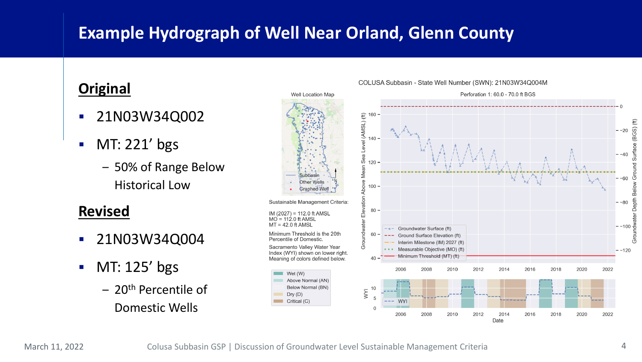# **Example Hydrograph of Well Near Orland, Glenn County**

### **Original**

- 21N03W34Q002
- $\blacksquare$  MT: 221' bgs
	- 50% of Range Below Historical Low

#### **Revised**

- 21N03W34Q004
- $\blacksquare$  MT: 125' bgs
	- 20th Percentile of Domestic Wells



#### COLUSA Subbasin - State Well Number (SWN): 21N03W34Q004M